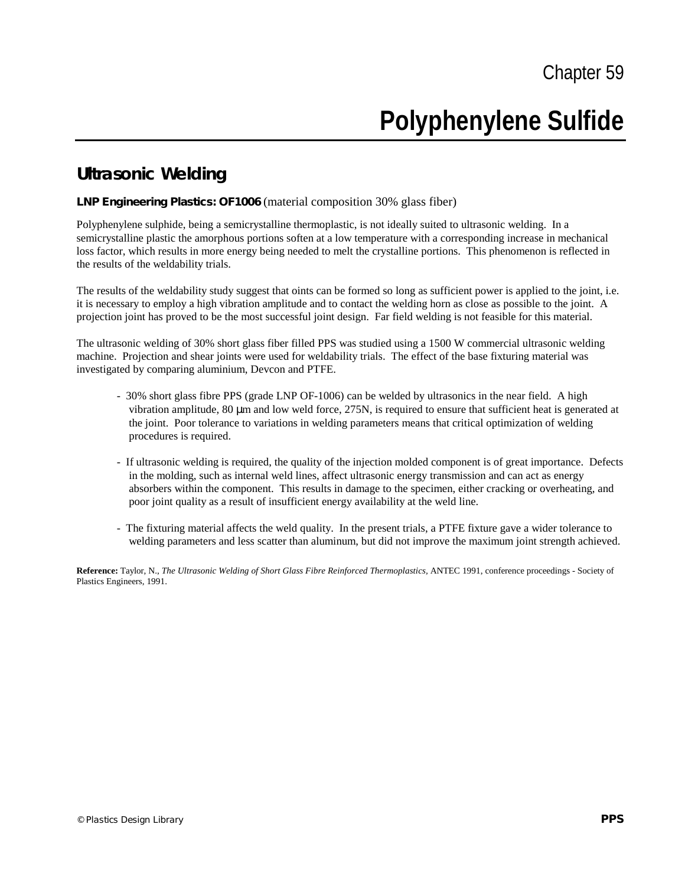# **Polyphenylene Sulfide**

### **Ultrasonic Welding**

### **LNP Engineering Plastics: OF1006** (material composition 30% glass fiber)

Polyphenylene sulphide, being a semicrystalline thermoplastic, is not ideally suited to ultrasonic welding. In a semicrystalline plastic the amorphous portions soften at a low temperature with a corresponding increase in mechanical loss factor, which results in more energy being needed to melt the crystalline portions. This phenomenon is reflected in the results of the weldability trials.

The results of the weldability study suggest that oints can be formed so long as sufficient power is applied to the joint, i.e. it is necessary to employ a high vibration amplitude and to contact the welding horn as close as possible to the joint. A projection joint has proved to be the most successful joint design. Far field welding is not feasible for this material.

The ultrasonic welding of 30% short glass fiber filled PPS was studied using a 1500 W commercial ultrasonic welding machine. Projection and shear joints were used for weldability trials. The effect of the base fixturing material was investigated by comparing aluminium, Devcon and PTFE.

- 30% short glass fibre PPS (grade LNP OF-1006) can be welded by ultrasonics in the near field. A high vibration amplitude, 80 µm and low weld force, 275N, is required to ensure that sufficient heat is generated at the joint. Poor tolerance to variations in welding parameters means that critical optimization of welding procedures is required.
- If ultrasonic welding is required, the quality of the injection molded component is of great importance. Defects in the molding, such as internal weld lines, affect ultrasonic energy transmission and can act as energy absorbers within the component. This results in damage to the specimen, either cracking or overheating, and poor joint quality as a result of insufficient energy availability at the weld line.
- The fixturing material affects the weld quality. In the present trials, a PTFE fixture gave a wider tolerance to welding parameters and less scatter than aluminum, but did not improve the maximum joint strength achieved.

**Reference:** Taylor, N., *The Ultrasonic Welding of Short Glass Fibre Reinforced Thermoplastics,* ANTEC 1991, conference proceedings - Society of Plastics Engineers, 1991.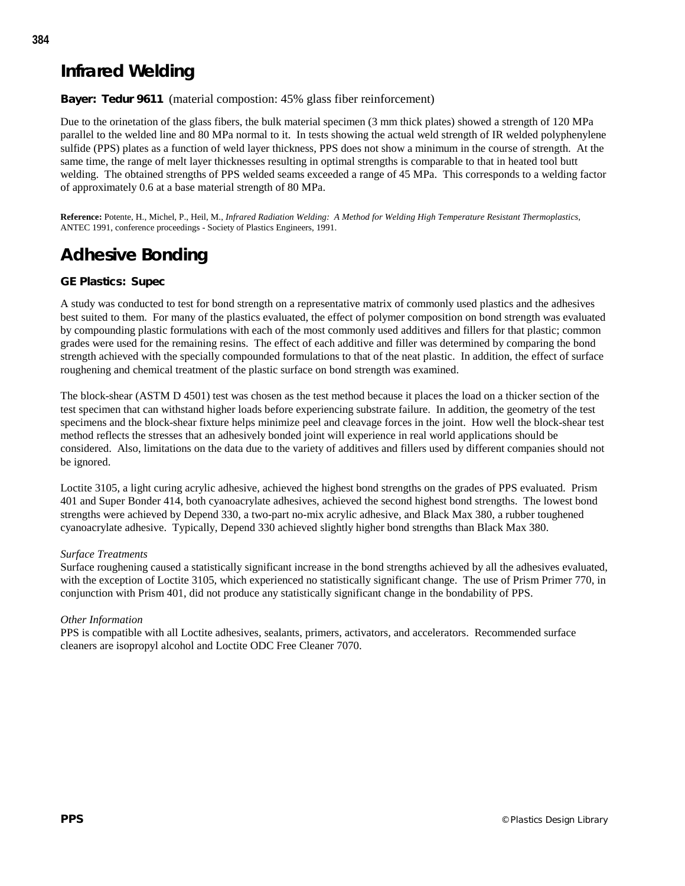## **Infrared Welding**

### **Bayer: Tedur 9611** (material compostion: 45% glass fiber reinforcement)

Due to the orinetation of the glass fibers, the bulk material specimen (3 mm thick plates) showed a strength of 120 MPa parallel to the welded line and 80 MPa normal to it. In tests showing the actual weld strength of IR welded polyphenylene sulfide (PPS) plates as a function of weld layer thickness, PPS does not show a minimum in the course of strength. At the same time, the range of melt layer thicknesses resulting in optimal strengths is comparable to that in heated tool butt welding. The obtained strengths of PPS welded seams exceeded a range of 45 MPa. This corresponds to a welding factor of approximately 0.6 at a base material strength of 80 MPa.

**Reference:** Potente, H., Michel, P., Heil, M., *Infrared Radiation Welding: A Method for Welding High Temperature Resistant Thermoplastics,*  ANTEC 1991, conference proceedings - Society of Plastics Engineers, 1991.

# **Adhesive Bonding**

### **GE Plastics: Supec**

A study was conducted to test for bond strength on a representative matrix of commonly used plastics and the adhesives best suited to them. For many of the plastics evaluated, the effect of polymer composition on bond strength was evaluated by compounding plastic formulations with each of the most commonly used additives and fillers for that plastic; common grades were used for the remaining resins. The effect of each additive and filler was determined by comparing the bond strength achieved with the specially compounded formulations to that of the neat plastic. In addition, the effect of surface roughening and chemical treatment of the plastic surface on bond strength was examined.

The block-shear (ASTM D 4501) test was chosen as the test method because it places the load on a thicker section of the test specimen that can withstand higher loads before experiencing substrate failure. In addition, the geometry of the test specimens and the block-shear fixture helps minimize peel and cleavage forces in the joint. How well the block-shear test method reflects the stresses that an adhesively bonded joint will experience in real world applications should be considered. Also, limitations on the data due to the variety of additives and fillers used by different companies should not be ignored.

Loctite 3105, a light curing acrylic adhesive, achieved the highest bond strengths on the grades of PPS evaluated. Prism 401 and Super Bonder 414, both cyanoacrylate adhesives, achieved the second highest bond strengths. The lowest bond strengths were achieved by Depend 330, a two-part no-mix acrylic adhesive, and Black Max 380, a rubber toughened cyanoacrylate adhesive. Typically, Depend 330 achieved slightly higher bond strengths than Black Max 380.

### *Surface Treatments*

Surface roughening caused a statistically significant increase in the bond strengths achieved by all the adhesives evaluated, with the exception of Loctite 3105, which experienced no statistically significant change. The use of Prism Primer 770, in conjunction with Prism 401, did not produce any statistically significant change in the bondability of PPS.

#### *Other Information*

PPS is compatible with all Loctite adhesives, sealants, primers, activators, and accelerators. Recommended surface cleaners are isopropyl alcohol and Loctite ODC Free Cleaner 7070.